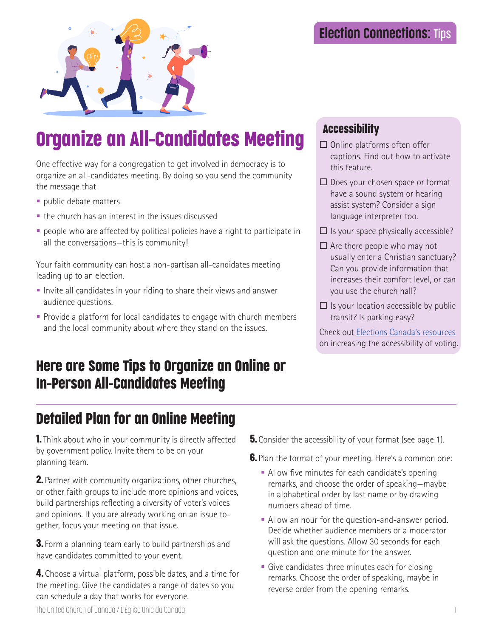

# Organize an All-Candidates Meeting

One effective way for a congregation to get involved in democracy is to organize an all-candidates meeting. By doing so you send the community the message that

- **public debate matters**
- the church has an interest in the issues discussed
- people who are affected by political policies have a right to participate in all the conversations—this is community!

Your faith community can host a non-partisan all-candidates meeting leading up to an election.

- Invite all candidates in your riding to share their views and answer audience questions.
- **Provide a platform for local candidates to engage with church members** and the local community about where they stand on the issues.

## Here are Some Tips to Organize an Online or In-Person All-Candidates Meeting

# Detailed Plan for an Online Meeting

**1.** Think about who in your community is directly affected by government policy. Invite them to be on your planning team.

**2.** Partner with community organizations, other churches, or other faith groups to include more opinions and voices, build partnerships reflecting a diversity of voter's voices and opinions. If you are already working on an issue together, focus your meeting on that issue.

**3.** Form a planning team early to build partnerships and have candidates committed to your event.

**4.** Choose a virtual platform, possible dates, and a time for the meeting. Give the candidates a range of dates so you can schedule a day that works for everyone.

### Accessibility

- $\Box$  Online platforms often offer captions. Find out how to activate this feature.
- $\Box$  Does your chosen space or format have a sound system or hearing assist system? Consider a sign language interpreter too.
- $\Box$  Is your space physically accessible?
- $\Box$  Are there people who may not usually enter a Christian sanctuary? Can you provide information that increases their comfort level, or can you use the church hall?
- $\Box$  Is your location accessible by public transit? Is parking easy?

Check out Elections Canada's resources on increasing the accessibility of voting.

- **5.** Consider the accessibility of your format (see page 1).
- **6.** Plan the format of your meeting. Here's a common one:
	- Allow five minutes for each candidate's opening remarks, and choose the order of speaking—maybe in alphabetical order by last name or by drawing numbers ahead of time.
	- Allow an hour for the question-and-answer period. Decide whether audience members or a moderator will ask the questions. Allow 30 seconds for each question and one minute for the answer.
	- **Give candidates three minutes each for closing** remarks. Choose the order of speaking, maybe in reverse order from the opening remarks.